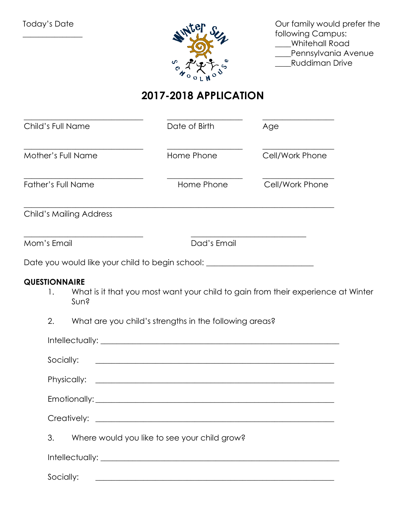Today's Date

 $\overline{\phantom{a}}$  , where  $\overline{\phantom{a}}$ 



Our family would prefer the following Campus: \_\_\_\_Whitehall Road **\_\_\_**Pennsylvania Avenue \_\_\_\_Ruddiman Drive

## **2017-2018 APPLICATION**

| Child's Full Name                                                                                                                    | Date of Birth                                                                                                                                                                                                                                                                                                         | Age                                                                                                                 |  |
|--------------------------------------------------------------------------------------------------------------------------------------|-----------------------------------------------------------------------------------------------------------------------------------------------------------------------------------------------------------------------------------------------------------------------------------------------------------------------|---------------------------------------------------------------------------------------------------------------------|--|
| Mother's Full Name                                                                                                                   | Home Phone                                                                                                                                                                                                                                                                                                            | Cell/Work Phone                                                                                                     |  |
| <b>Father's Full Name</b>                                                                                                            | Home Phone                                                                                                                                                                                                                                                                                                            | Cell/Work Phone                                                                                                     |  |
| <b>Child's Mailing Address</b>                                                                                                       |                                                                                                                                                                                                                                                                                                                       |                                                                                                                     |  |
| <u> 1989 - Johann John Stein, markin fan it fjort fan it fjort fan it fjort fan it fjort fan it fjort fan it fjor</u><br>Mom's Email | Dad's Email                                                                                                                                                                                                                                                                                                           | <u> 1989 - Johann Barn, mars eta bainar eta baina eta baina eta baina eta baina eta baina eta baina eta baina e</u> |  |
| Date you would like your child to begin school: ________________________________                                                     |                                                                                                                                                                                                                                                                                                                       |                                                                                                                     |  |
| <b>QUESTIONNAIRE</b><br>Ι.<br>Sun?<br>2.<br>Socially:<br>3.                                                                          | What is it that you most want your child to gain from their experience at Winter<br>What are you child's strengths in the following areas?<br><u> 1989 - Johann John Stoff, deutscher Stoffen und der Stoffen und der Stoffen und der Stoffen und der Stoffen und</u><br>Where would you like to see your child grow? |                                                                                                                     |  |
|                                                                                                                                      |                                                                                                                                                                                                                                                                                                                       |                                                                                                                     |  |